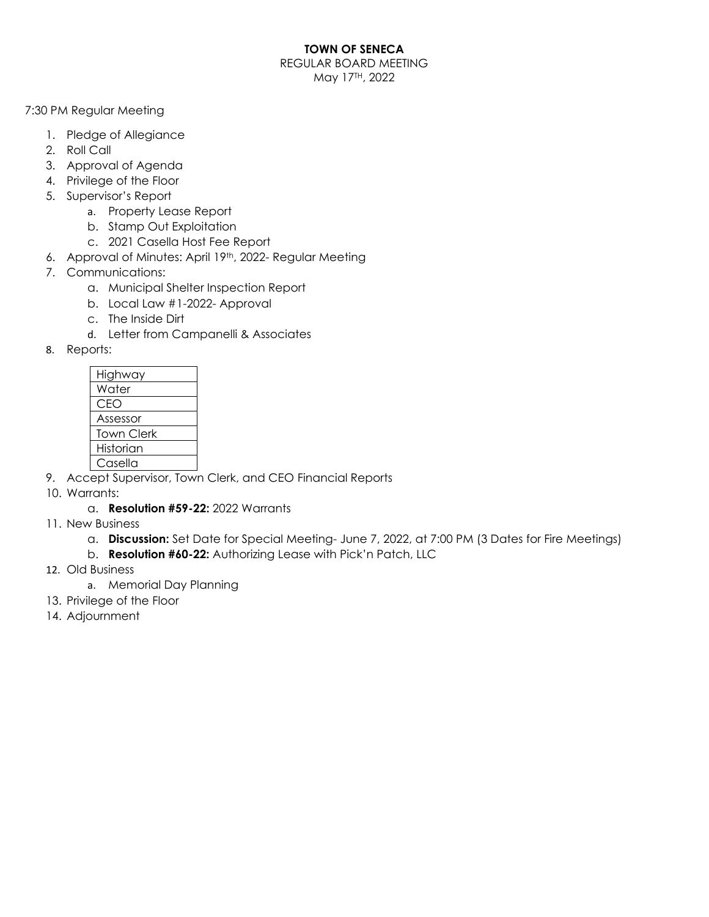### **TOWN OF SENECA**

REGULAR BOARD MEETING May 17TH, 2022

7:30 PM Regular Meeting

- 1. Pledge of Allegiance
- 2. Roll Call
- 3. Approval of Agenda
- 4. Privilege of the Floor
- 5. Supervisor's Report
	- a. Property Lease Report
	- b. Stamp Out Exploitation
	- c. 2021 Casella Host Fee Report
- 6. Approval of Minutes: April 19th, 2022- Regular Meeting
- 7. Communications:
	- a. Municipal Shelter Inspection Report
	- b. Local Law #1-2022- Approval
	- c. The Inside Dirt
	- d. Letter from Campanelli & Associates
- 8. Reports:

| Highway           |
|-------------------|
| Water             |
| CEO               |
| Assessor          |
| <b>Town Clerk</b> |
| Historian         |
| Casella           |

- 9. Accept Supervisor, Town Clerk, and CEO Financial Reports
- 10. Warrants:
	- a. **Resolution #59-22:** 2022 Warrants
- 11. New Business
	- a. **Discussion:** Set Date for Special Meeting- June 7, 2022, at 7:00 PM (3 Dates for Fire Meetings)
	- b. **Resolution #60-22:** Authorizing Lease with Pick'n Patch, LLC
- 12. Old Business
	- a. Memorial Day Planning
- 13. Privilege of the Floor
- 14. Adjournment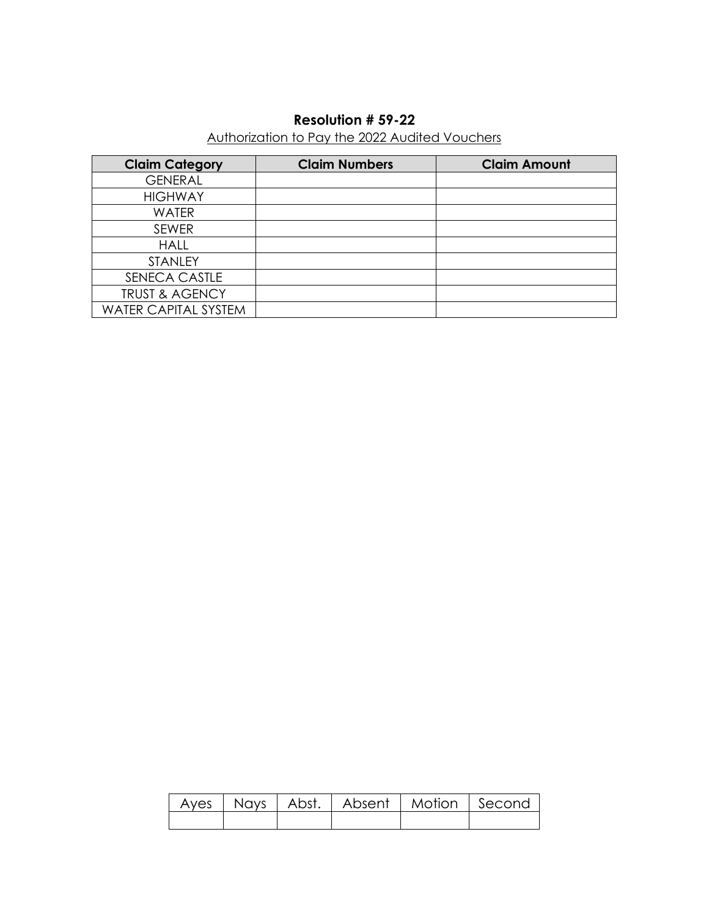# **Resolution # 59-22**

## Authorization to Pay the 2022 Audited Vouchers

| <b>Claim Category</b>       | <b>Claim Numbers</b> | <b>Claim Amount</b> |
|-----------------------------|----------------------|---------------------|
| <b>GENERAL</b>              |                      |                     |
| <b>HIGHWAY</b>              |                      |                     |
| <b>WATER</b>                |                      |                     |
| <b>SEWER</b>                |                      |                     |
| <b>HALL</b>                 |                      |                     |
| <b>STANLEY</b>              |                      |                     |
| SENECA CASTLE               |                      |                     |
| <b>TRUST &amp; AGENCY</b>   |                      |                     |
| <b>WATER CAPITAL SYSTEM</b> |                      |                     |

|  | Ayes   Nays   Abst.   Absent   Motion   Second |  |
|--|------------------------------------------------|--|
|  |                                                |  |